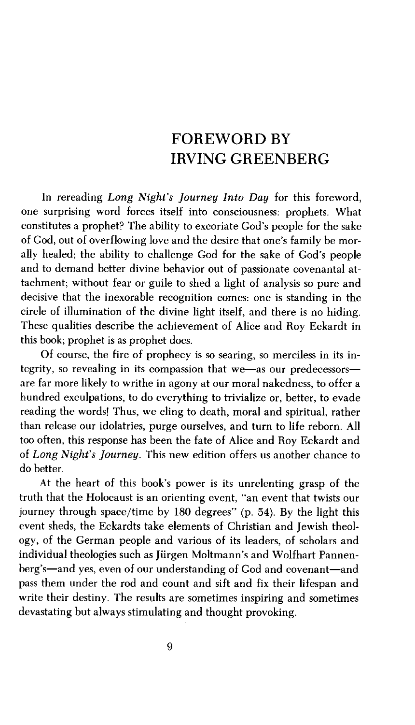## **FOREW ORD BY IRVING GREENBERG**

In rereading *Long Night's Journey Into Day* for this foreword, one surprising word forces itself into consciousness: prophets. What constitutes a prophet? The ability to excoriate God's people for the sake of God, out of overflowing love and the desire that one's family be morally healed; the ability to challenge God for the sake of God's people and to demand better divine behavior out of passionate covenantal attachment; without fear or guile to shed a light of analysis so pure and decisive that the inexorable recognition comes: one is standing in the circle of illumination of the divine light itself, and there is no hiding. These qualities describe the achievement of Alice and Roy Eckardt in this book; prophet is as prophet does.

Of course, the fire of prophecy is so searing, so merciless in its integrity, so revealing in its compassion that we—as our predecessors are far more likely to writhe in agony at our moral nakedness, to offer a hundred exculpations, to do everything to trivialize or, better, to evade reading the words! Thus, we cling to death, moral and spiritual, rather than release our idolatries, purge ourselves, and turn to life reborn. All too often, this response has been the fate of Alice and Roy Eckardt and of *Long Night's Journey.* This new edition offers us another chance to do better.

At the heart of this book's power is its unrelenting grasp of the truth that the Holocaust is an orienting event, "an event that twists our journey through space/time by 180 degrees" (p. 54). By the light this event sheds, the Eckardts take elements of Christian and Jewish theology, of the German people and various of its leaders, of scholars and individual theologies such as Jürgen Moltmann's and Wolfhart Pannenberg's— and yes, even of our understanding of God and covenant— and pass them under the rod and count and sift and fix their lifespan and write their destiny. The results are sometimes inspiring and sometimes devastating but always stimulating and thought provoking.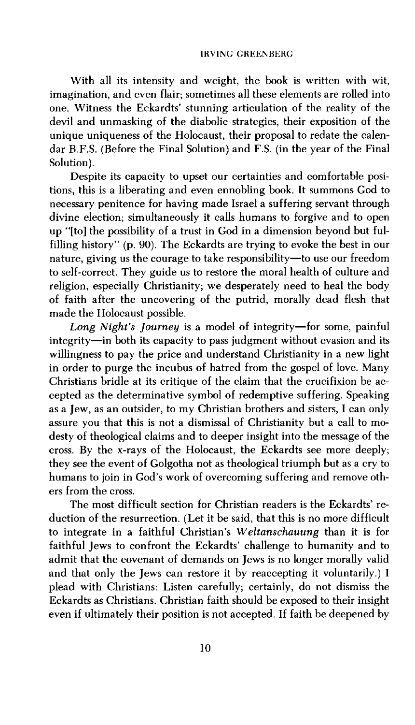### IRVING GREENBERG

With all its intensity and weight, the book is written with wit, imagination, and even flair; sometimes all these elements are rolled into one. Witness the Eckardts' stunning articulation of the reality of the devil and unmasking of the diabolic strategies, their exposition of the unique uniqueness of the Holocaust, their proposal to redate the calendar B.F.S. (Before the Final Solution) and F.S. (in the year of the Final Solution).

Despite its capacity to upset our certainties and comfortable positions, this is a liberating and even ennobling book. It summons God to necessary penitence for having made Israel a suffering servant through divine election; simultaneously it calls humans to forgive and to open up "[to] the possibility of a trust in God in a dimension beyond but fulfilling history" (p. 90). The Eckardts are trying to evoke the best in our nature, giving us the courage to take responsibility— to use our freedom to self-correct. They guide us to restore the moral health of culture and religion, especially Christianity; we desperately need to heal the body of faith after the uncovering of the putrid, morally dead flesh that made the Holocaust possible.

*Long Night's Journey* is a model of integrity—for some, painful integrity— in both its capacity to pass judgment without evasion and its willingness to pay the price and understand Christianity in a new light in order to purge the incubus of hatred from the gospel of love. Many Christians bridle at its critique of the claim that the crucifixion be accepted as the determinative symbol of redemptive suffering. Speaking as a Jew, as an outsider, to my Christian brothers and sisters, I can only assure you that this is not a dismissal of Christianity but a call to modesty of theological claims and to deeper insight into the message of the cross. By the x-rays of the Holocaust, the Eckardts see more deeply; they see the event of Golgotha not as theological triumph but as a cry to humans to join in God's work of overcoming suffering and remove others from the cross.

The most difficult section for Christian readers is the Eckardts' reduction of the resurrection. (Let it be said, that this is no more difficult to integrate in a faithful Christian's *W eltanschauung* than it is for faithful Jews to confront the Eckardts' challenge to humanity and to admit that the covenant of demands on Jews is no longer morally valid and that only the Jews can restore it by reaccepting it voluntarily.) I plead with Christians: Listen carefully; certainly, do not dismiss the Eckardts as Christians. Christian faith should be exposed to their insight even if ultimately their position is not accepted. If faith be deepened by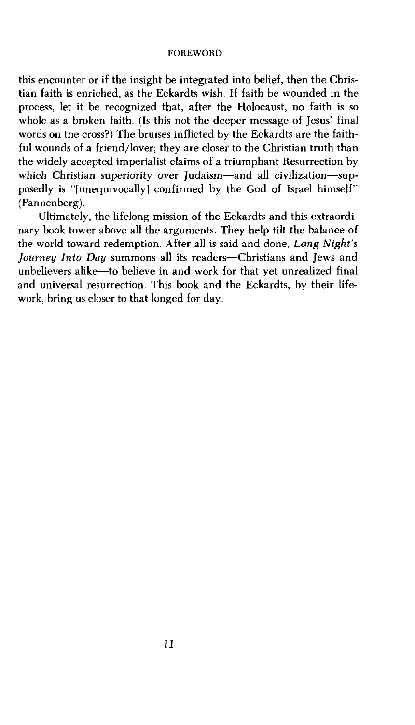#### FOREWORD

this encounter or if the insight be integrated into belief, then the Christian faith is enriched, as the Eckardts wish. If faith be wounded in the process, let it be recognized that, after the Holocaust, no faith is so whole as a broken faith. (Is this not the deeper message of Jesus' final words on the cross?) The bruises inflicted by the Eckardts are the faithful wounds of a friend/lover; they are closer to the Christian truth than the widely accepted imperialist claims of a triumphant Resurrection by which Christian superiority over Judaism—and all civilization—supposedly is "[unequivocally] confirmed by the God of Israel himself" (Pannenberg).

Ultimately, the lifelong mission of the Eckardts and this extraordinary book tower above all the arguments. They help tilt the balance of the world toward redemption. After all is said and done, *Long Night's Journey Into Day* summons all its readers— Christians and Jews and unbelievers alike— to believe in and work for that yet unrealized final and universal resurrection. This book and the Eckardts, by their lifework, bring us closer to that longed for day.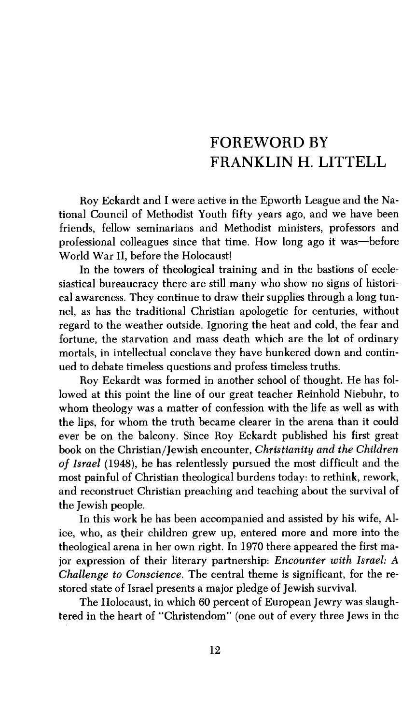## **FOREWORD BY FRANKLIN H. LITTELL**

Roy Eckardt and I were active in the Epworth League and the National Council of Methodist Youth fifty years ago, and we have been friends, fellow seminarians and Methodist ministers, professors and professional colleagues since that time. How long ago it was— before World War II, before the Holocaust!

In the towers of theological training and in the bastions of ecclesiastical bureaucracy there are still many who show no signs of historical awareness. They continue to draw their supplies through a long tunnel, as has the traditional Christian apologetic for centuries, without regard to the weather outside. Ignoring the heat and cold, the fear and fortune, the starvation and mass death which are the lot of ordinary mortals, in intellectual conclave they have hunkered down and continued to debate timeless questions and profess timeless truths.

Roy Eckardt was formed in another school of thought. He has followed at this point the line of our great teacher Reinhold Niebuhr, to whom theology was a matter of confession with the life as well as with the lips, for whom the truth became clearer in the arena than it could ever be on the balcony. Since Roy Eckardt published his first great book on the Christian/Jewish encounter, *Christianity and the Children* of Israel (1948), he has relentlessly pursued the most difficult and the most painful of Christian theological burdens today: to rethink, rework, and reconstruct Christian preaching and teaching about the survival of the Jewish people.

In this work he has been accompanied and assisted by his wife, Alice, who, as their children grew up, entered more and more into the theological arena in her own right. In 1970 there appeared the first major expression of their literary partnership: *Encounter with Israel: A Challenge to Conscience*. The central theme is significant, for the restored state of Israel presents a major pledge of Jewish survival.

The Holocaust, in which 60 percent of European Jewry was slaughtered in the heart of "Christendom" (one out of every three Jews in the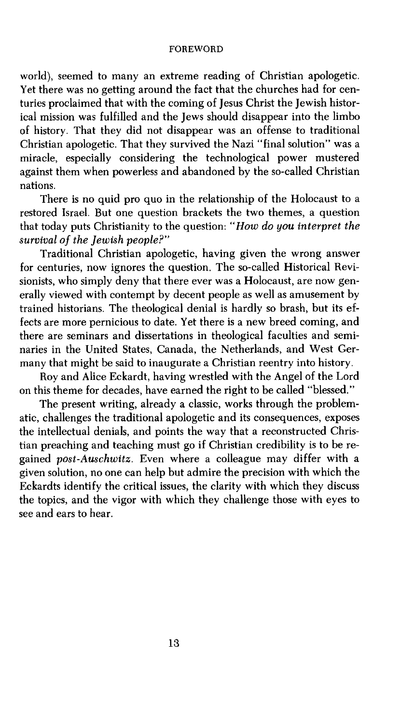#### FOREWORD

world), seemed to many an extreme reading of Christian apologetic. Yet there was no getting around the fact that the churches had for centuries proclaimed that with the coming of Jesus Christ the Jewish historical mission was fulfilled and the Jews should disappear into the limbo of history. That they did not disappear was an offense to traditional Christian apologetic. That they survived the Nazi "final solution" was a miracle, especially considering the technological power mustered against them when powerless and abandoned by the so-called Christian nations.

There is no quid pro quo in the relationship of the Holocaust to a restored Israel. But one question brackets the two themes, a question that today puts Christianity to the question: *"How do you interpret the* survival of the Jewish people?"

Traditional Christian apologetic, having given the wrong answer for centuries, now ignores the question. The so-called Historical Revisionists, who simply deny that there ever was a Holocaust, are now generally viewed with contempt by decent people as well as amusement by trained historians. The theological denial is hardly so brash, but its effects are more pernicious to date. Yet there is a new breed coming, and there are seminars and dissertations in theological faculties and seminaries in the United States, Canada, the Netherlands, and West Germany that might be said to inaugurate a Christian reentry into history.

Roy and Alice Eckardt, having wrestled with the Angel of the Lord on this theme for decades, have earned the right to be called "blessed."

The present writing, already a classic, works through the problematic, challenges the traditional apologetic and its consequences, exposes the intellectual denials, and points the way that a reconstructed Christian preaching and teaching must go if Christian credibility is to be regained *post-Auschwitz.* Even where a colleague may differ with a given solution, no one can help but admire the precision with which the Eckardts identify the critical issues, the clarity with which they discuss the topics, and the vigor with which they challenge those with eyes to see and ears to hear.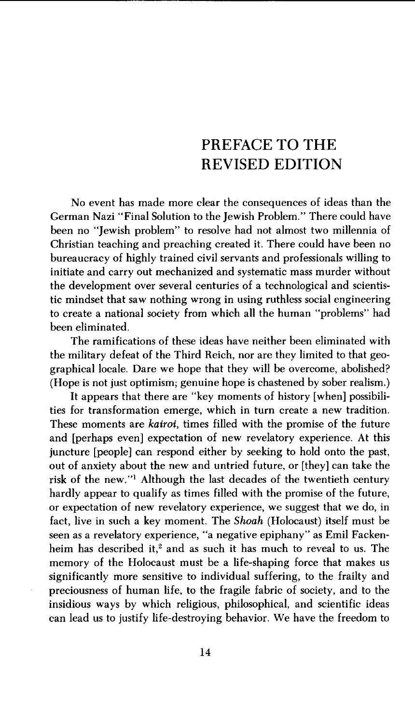# **PREFACE TO THE REVISED EDITION**

No event has made more clear the consequences of ideas than the German Nazi "Final Solution to the Jewish Problem." There could have been no "Jewish problem" to resolve had not almost two millennia of Christian teaching and preaching created it. There could have been no bureaucracy of highly trained civil servants and professionals willing to initiate and carry out mechanized and systematic mass murder without the development over several centuries of a technological and scientistic mindset that saw nothing wrong in using ruthless social engineering to create a national society from which all the human "problems" had been eliminated.

The ramifications of these ideas have neither been eliminated with the military defeat of the Third Reich, nor are they limited to that geographical locale. Dare we hope that they will be overcome, abolished? (Hope is not just optimism; genuine hope is chastened by sober realism.)

It appears that there are "key moments of history [when] possibilities for transformation emerge, which in turn create a new tradition. These moments are *kairoi,* times filled with the promise of the future and [perhaps even] expectation of new revelatory experience. At this juncture [people] can respond either by seeking to hold onto the past, out of anxiety about the new and untried future, or [they] can take the risk of the new."1 Although the last decades of the twentieth century hardly appear to qualify as times filled with the promise of the future, or expectation of new revelatory experience, we suggest that we do, in fact, live in such a key moment. The *Shoah* (Holocaust) itself must be seen as a revelatory experience, "a negative epiphany" as Emil Fackenheim has described it,<sup>2</sup> and as such it has much to reveal to us. The memory of the Holocaust must be a life-shaping force that makes us significantly more sensitive to individual suffering, to the frailty and preciousness of human life, to the fragile fabric of society, and to the insidious ways by which religious, philosophical, and scientific ideas can lead us to justify life-destroying behavior. We have the freedom to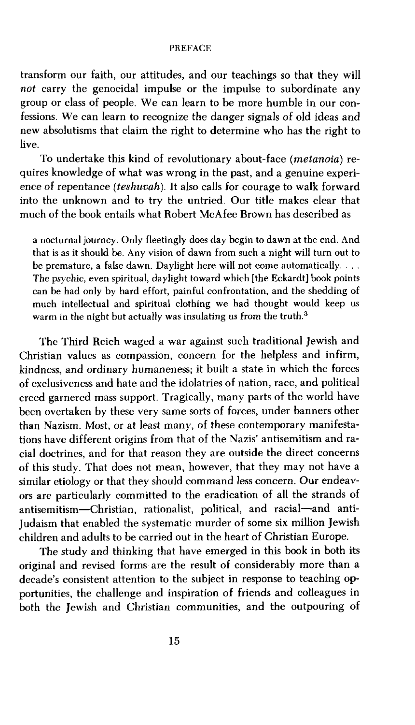#### PREFACE

transform our faith, our attitudes, and our teachings so that they will *not* carry the genocidal impulse or the impulse to subordinate any group or class of people. We can learn to be more humble in our confessions. We can learn to recognize the danger signals of old ideas and new absolutisms that claim the right to determine who has the right to live.

To undertake this kind of revolutionary about-face (*metanoia*) requires knowledge of what was wrong in the past, and a genuine experience of repentance (*teshuvah).* It also calls for courage to walk forward into the unknown and to try the untried. Our title makes clear that much of the book entails what Robert McAfee Brown has described as

a nocturnal journey. Only fleetingly does day begin to dawn at the end. And that is as it should be. Any vision of dawn from such a night will turn out to be premature, a false dawn. Daylight here will not come automatically. . . . The psychic, even spiritual, daylight toward which [the Eckardt] book points can be had only by hard effort, painful confrontation, and the shedding of much intellectual and spiritual clothing we had thought would keep us warm in the night but actually was insulating us from the truth.<sup>3</sup>

The Third Reich waged a war against such traditional Jewish and Christian values as compassion, concern for the helpless and infirm, kindness, and ordinary humaneness; it built a state in which the forces of exclusiveness and hate and the idolatries of nation, race, and political creed garnered mass support. Tragically, many parts of the world have been overtaken by these very same sorts of forces, under banners other than Nazism. Most, or at least many, of these contemporary manifestations have different origins from that of the Nazis' antisemitism and racial doctrines, and for that reason they are outside the direct concerns of this study. That does not mean, however, that they may not have a similar etiology or that they should command less concern. Our endeavors are particularly committed to the eradication of all the strands of antisemitism— Christian, rationalist, political, and racial— and anti-Judaism that enabled the systematic murder of some six million Jewish children and adults to be carried out in the heart of Christian Europe.

The study and thinking that have emerged in this book in both its original and revised forms are the result of considerably more than a decade's consistent attention to the subject in response to teaching opportunities, the challenge and inspiration of friends and colleagues in both the Jewish and Christian communities, and the outpouring of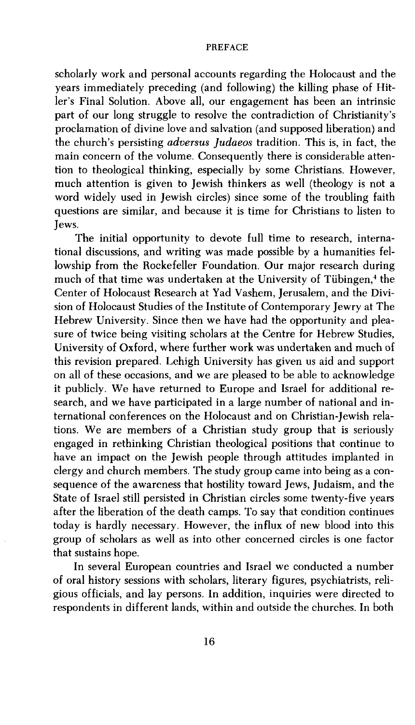#### PREFACE

scholarly work and personal accounts regarding the Holocaust and the years immediately preceding (and following) the killing phase of Hitler's Final Solution. Above all, our engagement has been an intrinsic part of our long struggle to resolve the contradiction of Christianity's proclamation of divine love and salvation (and supposed liberation) and the church's persisting *adversus Ju daeos* tradition. This is, in fact, the main concern of the volume. Consequently there is considerable attention to theological thinking, especially by some Christians. However, much attention is given to Jewish thinkers as well (theology is not a word widely used in Jewish circles) since some of the troubling faith questions are similar, and because it is time for Christians to listen to Jews.

The initial opportunity to devote full time to research, international discussions, and writing was made possible by a humanities fellowship from the Rockefeller Foundation. Our major research during much of that time was undertaken at the University of Tübingen, $4$  the Center of Holocaust Research at Yad Vashem, Jerusalem, and the Division of Holocaust Studies of the Institute of Contemporary Jewry at The Hebrew University. Since then we have had the opportunity and pleasure of twice being visiting scholars at the Centre for Hebrew Studies, University of Oxford, where further work was undertaken and much of this revision prepared. Lehigh University has given us aid and support on all of these occasions, and we are pleased to be able to acknowledge it publicly. We have returned to Europe and Israel for additional research, and we have participated in a large number of national and international conferences on the Holocaust and on Christian-Jewish relations. We are members of a Christian study group that is seriously engaged in rethinking Christian theological positions that continue to have an impact on the Jewish people through attitudes implanted in clergy and church members. The study group came into being as a consequence of the awareness that hostility toward Jews, Judaism, and the State of Israel still persisted in Christian circles some twenty-five years after the liberation of the death camps. To say that condition continues today is hardly necessary. However, the influx of new blood into this group of scholars as well as into other concerned circles is one factor that sustains hope.

In several European countries and Israel we conducted a number of oral history sessions with scholars, literary figures, psychiatrists, religious officials, and lay persons. In addition, inquiries were directed to respondents in different lands, within and outside the churches. In both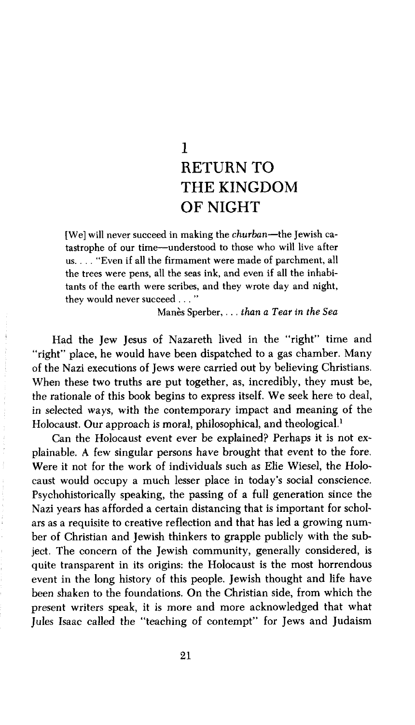# **RETURN TO THE KINGDOM OF NIGHT 1**

[We] will never succeed in making the *churban*—the Jewish catastrophe of our time— understood to those who will live after us. . . . "Even if all the firmament were made of parchment, all the trees were pens, all the seas ink, and even if all the inhabitants of the earth were scribes, and they wrote day and night, they would never succeed ..."

Manes Sperber,. . . *than a Tear in the Sea*

Had the Jew Jesus of Nazareth lived in the "right" time and "right" place, he would have been dispatched to a gas chamber. Many of the Nazi executions of Jews were carried out by believing Christians. When these two truths are put together, as, incredibly, they must be, the rationale of this book begins to express itself. We seek here to deal, in selected ways, with the contemporary impact and meaning of the Holocaust. Our approach is moral, philosophical, and theological.<sup>1</sup>

Can the Holocaust event ever be explained? Perhaps it is not explainable. A few singular persons have brought that event to the fore. Were it not for the work of individuals such as Elie Wiesel, the Holocaust would occupy a much lesser place in today's social conscience. Psychohistorically speaking, the passing of a full generation since the Nazi years has afforded a certain distancing that is important for scholars as a requisite to creative reflection and that has led a growing number of Christian and Jewish thinkers to grapple publicly with the subject. The concern of the Jewish community, generally considered, is quite transparent in its origins: the Holocaust is the most horrendous event in the long history of this people. Jewish thought and life have been shaken to the foundations. On the Christian side, from which the present writers speak, it is more and more acknowledged that what Jules Isaac called the "teaching of contempt" for Jews and Judaism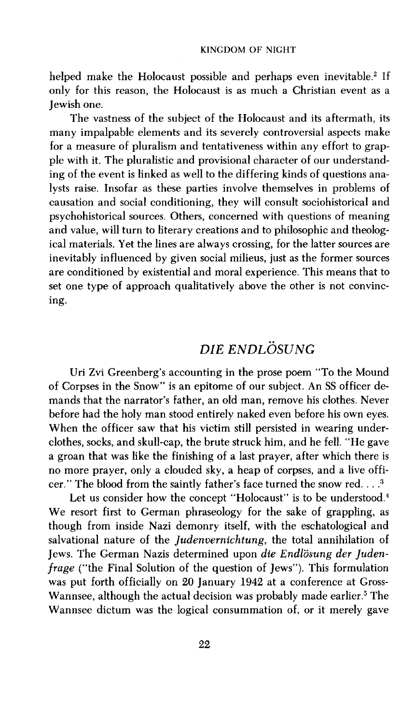helped make the Holocaust possible and perhaps even inevitable.<sup>2</sup> If only for this reason, the Holocaust is as much a Christian event as a Jewish one.

The vastness of the subject of the Holocaust and its aftermath, its many impalpable elements and its severely controversial aspects make for a measure of pluralism and tentativeness within any effort to grapple with it. The pluralistic and provisional character of our understanding of the event is linked as well to the differing kinds of questions analysts raise. Insofar as these parties involve themselves in problems of causation and social conditioning, they will consult sociohistorical and psychohistorical sources. Others, concerned with questions of meaning and value, will turn to literary creations and to philosophic and theological materials. Yet the lines are always crossing, for the latter sources are inevitably influenced by given social milieus, just as the former sources are conditioned by existential and moral experience. This means that to set one type of approach qualitatively above the other is not convincing.

### *DIE ENDLOSUNG*

Uri Zvi Greenberg's accounting in the prose poem "To the Mound of Corpses in the Snow" is an epitome of our subject. An SS officer demands that the narrator's father, an old man, remove his clothes. Never before had the holy man stood entirely naked even before his own eyes. When the officer saw that his victim still persisted in wearing underclothes, socks, and skull-cap, the brute struck him, and he fell. "He gave a groan that was like the finishing of a last prayer, after which there is no more prayer, only a clouded sky, a heap of corpses, and a live officer." The blood from the saintly father's face turned the snow red...<sup>3</sup>

Let us consider how the concept "Holocaust" is to be understood.<sup>4</sup> We resort first to German phraseology for the sake of grappling, as though from inside Nazi demonry itself, with the eschatological and salvational nature of the *Judenvernichtung,* the total annihilation of Jews. The German Nazis determined upon *die Endlösung der Judenfrage* ("the Final Solution of the question of Jews"). This formulation was put forth officially on 20 January 1942 at a conference at Gross-Wannsee, although the actual decision was probably made earlier.<sup>5</sup> The Wannsee dictum was the logical consummation of, or it merely gave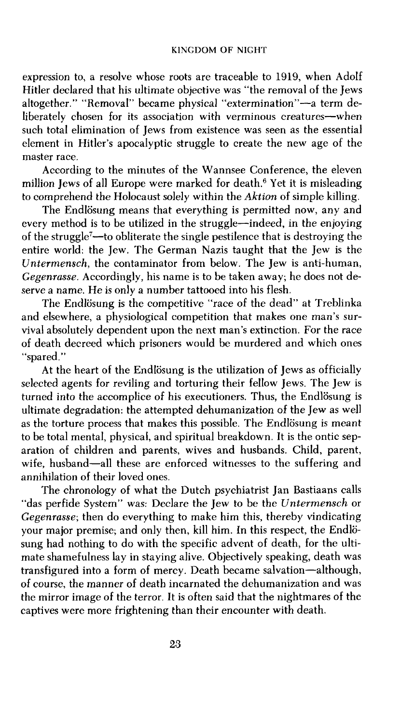expression to, a resolve whose roots are traceable to 1919, when Adolf Hitler declared that his ultimate objective was "the removal of the Jews altogether." "Removal" became physical "extermination"—a term deliberately chosen for its association with verminous creatures— when such total elimination of Jews from existence was seen as the essential element in Hitler's apocalyptic struggle to create the new age of the master race.

According to the minutes of the Wannsee Conference, the eleven million Jews of all Europe were marked for death.<sup>6</sup> Yet it is misleading to comprehend the Holocaust solely within the *Aktion* of simple killing.

The Endlösung means that everything is permitted now, any and every method is to be utilized in the struggle— indeed, in the enjoying of the struggle7— to obliterate the single pestilence that is destroying the entire world: the Jew. The German Nazis taught that the Jew is the *Untermensch,* the contaminator from below. The Jew is anti-human, *Gegenrasse.* Accordingly, his name is to be taken away; he does not deserve a name. He is only a number tattooed into his flesh.

The Endlösung is the competitive "race of the dead" at Treblinka and elsewhere, a physiological competition that makes one man's survival absolutely dependent upon the next man's extinction. For the race of death decreed which prisoners would be murdered and which ones "spared."

At the heart of the Endlösung is the utilization of Jews as officially selected agents for reviling and torturing their fellow Jews. The Jew is turned into the accomplice of his executioners. Thus, the Endlösung is ultimate degradation: the attempted dehumanization of the Jew as well as the torture process that makes this possible. The Endlösung is meant to be total mental, physical, and spiritual breakdown. It is the ontic separation of children and parents, wives and husbands. Child, parent, wife, husband—all these are enforced witnesses to the suffering and annihilation of their loved ones.

The chronology of what the Dutch psychiatrist Jan Bastiaans calls "das perfide System" was: Declare the Jew to be the *Untermensch* or *Gegenrasse*; then do everything to make him this, thereby vindicating your major premise; and only then, kill him. In this respect, the Endlösung had nothing to do with the specific advent of death, for the ultimate shamefulness lay in staying alive. Objectively speaking, death was transfigured into a form of mercy. Death became salvation— although, of course, the manner of death incarnated the dehumanization and was the mirror image of the terror. It is often said that the nightmares of the captives were more frightening than their encounter with death.